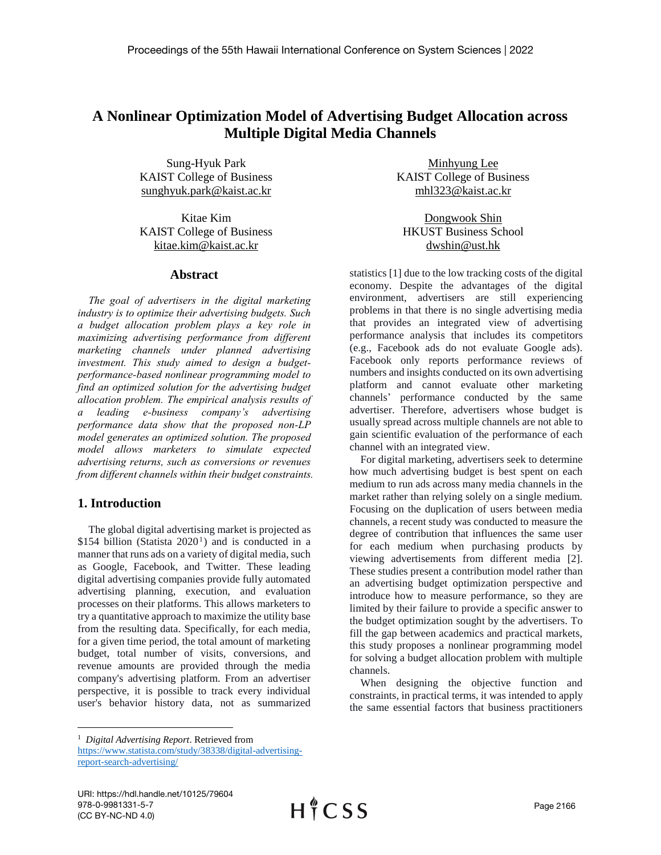# **A Nonlinear Optimization Model of Advertising Budget Allocation across Multiple Digital Media Channels**

Sung-Hyuk Park KAIST College of Business sunghyuk.park@kaist.ac.kr

Kitae Kim KAIST College of Business kitae.kim@kaist.ac.kr

### **Abstract**

*The goal of advertisers in the digital marketing industry is to optimize their advertising budgets. Such a budget allocation problem plays a key role in maximizing advertising performance from different marketing channels under planned advertising investment. This study aimed to design a budgetperformance-based nonlinear programming model to find an optimized solution for the advertising budget allocation problem. The empirical analysis results of a leading e-business company's advertising performance data show that the proposed non-LP model generates an optimized solution. The proposed model allows marketers to simulate expected advertising returns, such as conversions or revenues from different channels within their budget constraints.* 

# **1. Introduction**

 $\overline{a}$ 

The global digital advertising market is projected as  $$154$  billion (Statista 2020<sup>1</sup>) and is conducted in a manner that runs ads on a variety of digital media, such as Google, Facebook, and Twitter. These leading digital advertising companies provide fully automated advertising planning, execution, and evaluation processes on their platforms. This allows marketers to try a quantitative approach to maximize the utility base from the resulting data. Specifically, for each media, for a given time period, the total amount of marketing budget, total number of visits, conversions, and revenue amounts are provided through the media company's advertising platform. From an advertiser perspective, it is possible to track every individual user's behavior history data, not as summarized

Minhyung Lee KAIST College of Business mhl323@kaist.ac.kr

Dongwook Shin HKUST Business School dwshin@ust.hk

statistics [1] due to the low tracking costs of the digital economy. Despite the advantages of the digital environment, advertisers are still experiencing problems in that there is no single advertising media that provides an integrated view of advertising performance analysis that includes its competitors (e.g., Facebook ads do not evaluate Google ads). Facebook only reports performance reviews of numbers and insights conducted on its own advertising platform and cannot evaluate other marketing channels' performance conducted by the same advertiser. Therefore, advertisers whose budget is usually spread across multiple channels are not able to gain scientific evaluation of the performance of each channel with an integrated view.

For digital marketing, advertisers seek to determine how much advertising budget is best spent on each medium to run ads across many media channels in the market rather than relying solely on a single medium. Focusing on the duplication of users between media channels, a recent study was conducted to measure the degree of contribution that influences the same user for each medium when purchasing products by viewing advertisements from different media [2]. These studies present a contribution model rather than an advertising budget optimization perspective and introduce how to measure performance, so they are limited by their failure to provide a specific answer to the budget optimization sought by the advertisers. To fill the gap between academics and practical markets, this study proposes a nonlinear programming model for solving a budget allocation problem with multiple channels.

When designing the objective function and constraints, in practical terms, it was intended to apply the same essential factors that business practitioners

[https://www.statista.com/study/38338/digital-advertising](https://www.statista.com/study/38338/digital-advertising-report-search-advertising/)[report-search-advertising/](https://www.statista.com/study/38338/digital-advertising-report-search-advertising/)

<sup>1</sup> *Digital Advertising Report*. Retrieved from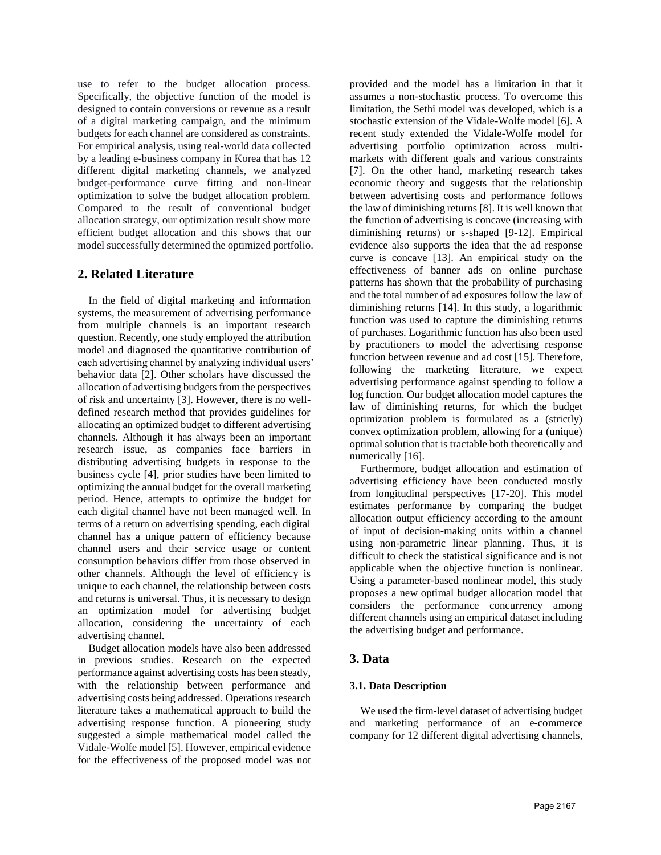use to refer to the budget allocation process. Specifically, the objective function of the model is designed to contain conversions or revenue as a result of a digital marketing campaign, and the minimum budgets for each channel are considered as constraints. For empirical analysis, using real-world data collected by a leading e-business company in Korea that has 12 different digital marketing channels, we analyzed budget-performance curve fitting and non-linear optimization to solve the budget allocation problem. Compared to the result of conventional budget allocation strategy, our optimization result show more efficient budget allocation and this shows that our model successfully determined the optimized portfolio.

## **2. Related Literature**

In the field of digital marketing and information systems, the measurement of advertising performance from multiple channels is an important research question. Recently, one study employed the attribution model and diagnosed the quantitative contribution of each advertising channel by analyzing individual users' behavior data [2]. Other scholars have discussed the allocation of advertising budgets from the perspectives of risk and uncertainty [3]. However, there is no welldefined research method that provides guidelines for allocating an optimized budget to different advertising channels. Although it has always been an important research issue, as companies face barriers in distributing advertising budgets in response to the business cycle [4], prior studies have been limited to optimizing the annual budget for the overall marketing period. Hence, attempts to optimize the budget for each digital channel have not been managed well. In terms of a return on advertising spending, each digital channel has a unique pattern of efficiency because channel users and their service usage or content consumption behaviors differ from those observed in other channels. Although the level of efficiency is unique to each channel, the relationship between costs and returns is universal. Thus, it is necessary to design an optimization model for advertising budget allocation, considering the uncertainty of each advertising channel.

Budget allocation models have also been addressed in previous studies. Research on the expected performance against advertising costs has been steady, with the relationship between performance and advertising costs being addressed. Operations research literature takes a mathematical approach to build the advertising response function. A pioneering study suggested a simple mathematical model called the Vidale-Wolfe model [5]. However, empirical evidence for the effectiveness of the proposed model was not provided and the model has a limitation in that it assumes a non-stochastic process. To overcome this limitation, the Sethi model was developed, which is a stochastic extension of the Vidale-Wolfe model [6]. A recent study extended the Vidale-Wolfe model for advertising portfolio optimization across multimarkets with different goals and various constraints [7]. On the other hand, marketing research takes economic theory and suggests that the relationship between advertising costs and performance follows the law of diminishing returns [8]. It is well known that the function of advertising is concave (increasing with diminishing returns) or s-shaped [9-12]. Empirical evidence also supports the idea that the ad response curve is concave [13]. An empirical study on the effectiveness of banner ads on online purchase patterns has shown that the probability of purchasing and the total number of ad exposures follow the law of diminishing returns [14]. In this study, a logarithmic function was used to capture the diminishing returns of purchases. Logarithmic function has also been used by practitioners to model the advertising response function between revenue and ad cost [15]. Therefore, following the marketing literature, we expect advertising performance against spending to follow a log function. Our budget allocation model captures the law of diminishing returns, for which the budget optimization problem is formulated as a (strictly) convex optimization problem, allowing for a (unique) optimal solution that is tractable both theoretically and numerically [16].

Furthermore, budget allocation and estimation of advertising efficiency have been conducted mostly from longitudinal perspectives [17-20]. This model estimates performance by comparing the budget allocation output efficiency according to the amount of input of decision-making units within a channel using non-parametric linear planning. Thus, it is difficult to check the statistical significance and is not applicable when the objective function is nonlinear. Using a parameter-based nonlinear model, this study proposes a new optimal budget allocation model that considers the performance concurrency among different channels using an empirical dataset including the advertising budget and performance.

# **3. Data**

### **3.1. Data Description**

We used the firm-level dataset of advertising budget and marketing performance of an e-commerce company for 12 different digital advertising channels,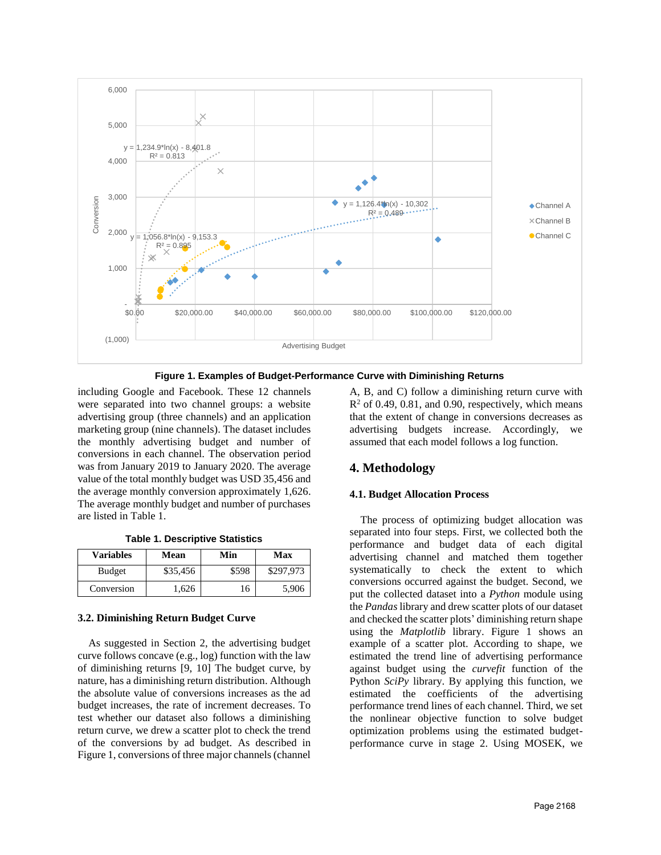

**Figure 1. Examples of Budget-Performance Curve with Diminishing Returns**

including Google and Facebook. These 12 channels were separated into two channel groups: a website advertising group (three channels) and an application marketing group (nine channels). The dataset includes the monthly advertising budget and number of conversions in each channel. The observation period was from January 2019 to January 2020. The average value of the total monthly budget was USD 35,456 and the average monthly conversion approximately 1,626. The average monthly budget and number of purchases are listed in Table 1.

|  | <b>Table 1. Descriptive Statistics</b> |  |
|--|----------------------------------------|--|
|--|----------------------------------------|--|

| <b>Variables</b> | Mean     | Min   | Max       |  |
|------------------|----------|-------|-----------|--|
| <b>Budget</b>    | \$35,456 | \$598 | \$297,973 |  |
| Conversion       | . 626    | l 6   | 5,906     |  |

### **3.2. Diminishing Return Budget Curve**

As suggested in Section 2, the advertising budget curve follows concave (e.g., log) function with the law of diminishing returns [9, 10] The budget curve, by nature, has a diminishing return distribution. Although the absolute value of conversions increases as the ad budget increases, the rate of increment decreases. To test whether our dataset also follows a diminishing return curve, we drew a scatter plot to check the trend of the conversions by ad budget. As described in Figure 1, conversions of three major channels (channel A, B, and C) follow a diminishing return curve with  $R<sup>2</sup>$  of 0.49, 0.81, and 0.90, respectively, which means that the extent of change in conversions decreases as advertising budgets increase. Accordingly, we assumed that each model follows a log function.

# **4. Methodology**

#### **4.1. Budget Allocation Process**

The process of optimizing budget allocation was separated into four steps. First, we collected both the performance and budget data of each digital advertising channel and matched them together systematically to check the extent to which conversions occurred against the budget. Second, we put the collected dataset into a *Python* module using the *Pandas* library and drew scatter plots of our dataset and checked the scatter plots' diminishing return shape using the *Matplotlib* library. Figure 1 shows an example of a scatter plot. According to shape, we estimated the trend line of advertising performance against budget using the *curvefit* function of the Python *SciPy* library. By applying this function, we estimated the coefficients of the advertising performance trend lines of each channel. Third, we set the nonlinear objective function to solve budget optimization problems using the estimated budgetperformance curve in stage 2. Using MOSEK, we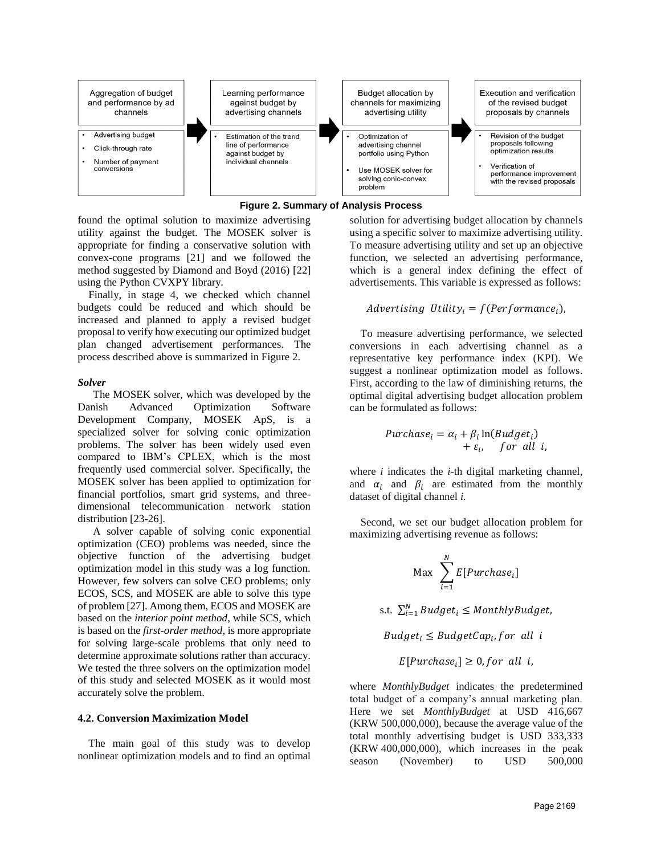

**Figure 2. Summary of Analysis Process**

found the optimal solution to maximize advertising utility against the budget. The MOSEK solver is appropriate for finding a conservative solution with convex-cone programs [21] and we followed the method suggested by Diamond and Boyd (2016) [22] using the Python CVXPY library.

Finally, in stage 4, we checked which channel budgets could be reduced and which should be increased and planned to apply a revised budget proposal to verify how executing our optimized budget plan changed advertisement performances. The process described above is summarized in Figure 2.

#### *Solver*

The MOSEK solver, which was developed by the Danish Advanced Optimization Software Development Company, MOSEK ApS, is a specialized solver for solving conic optimization problems. The solver has been widely used even compared to IBM's CPLEX, which is the most frequently used commercial solver. Specifically, the MOSEK solver has been applied to optimization for financial portfolios, smart grid systems, and threedimensional telecommunication network station distribution [23-26].

A solver capable of solving conic exponential optimization (CEO) problems was needed, since the objective function of the advertising budget optimization model in this study was a log function. However, few solvers can solve CEO problems; only ECOS, SCS, and MOSEK are able to solve this type of problem [27]. Among them, ECOS and MOSEK are based on the *interior point method*, while SCS, which is based on the *first-order method*, is more appropriate for solving large-scale problems that only need to determine approximate solutions rather than accuracy. We tested the three solvers on the optimization model of this study and selected MOSEK as it would most accurately solve the problem.

#### **4.2. Conversion Maximization Model**

The main goal of this study was to develop nonlinear optimization models and to find an optimal solution for advertising budget allocation by channels using a specific solver to maximize advertising utility. To measure advertising utility and set up an objective function, we selected an advertising performance, which is a general index defining the effect of advertisements. This variable is expressed as follows:

### Advertising Utility<sub>i</sub> =  $f(Performance_i)$ ,

To measure advertising performance, we selected conversions in each advertising channel as a representative key performance index (KPI). We suggest a nonlinear optimization model as follows. First, according to the law of diminishing returns, the optimal digital advertising budget allocation problem can be formulated as follows:

$$
Purchase_i = \alpha_i + \beta_i \ln(Budget_i) + \varepsilon_i, \quad for \ all \ i,
$$

where *i* indicates the *i*-th digital marketing channel, and  $\alpha_i$  and  $\beta_i$  are estimated from the monthly dataset of digital channel *i.*

Second, we set our budget allocation problem for maximizing advertising revenue as follows:

$$
\text{Max} \ \sum_{i=1}^{N} E[Purchase_i]
$$

s.t.  $\sum_{i=1}^{N} Budget_i \le MonthlyBudget,$ 

 $Budget_i \leq BudgetCap_i, for\ all\ i$ 

 $E[Purchase_i] \geq 0$ , for all i,

where *MonthlyBudget* indicates the predetermined total budget of a company's annual marketing plan. Here we set *MonthlyBudget* at USD 416,667 (KRW 500,000,000), because the average value of the total monthly advertising budget is USD 333,333 (KRW 400,000,000), which increases in the peak season (November) to USD 500,000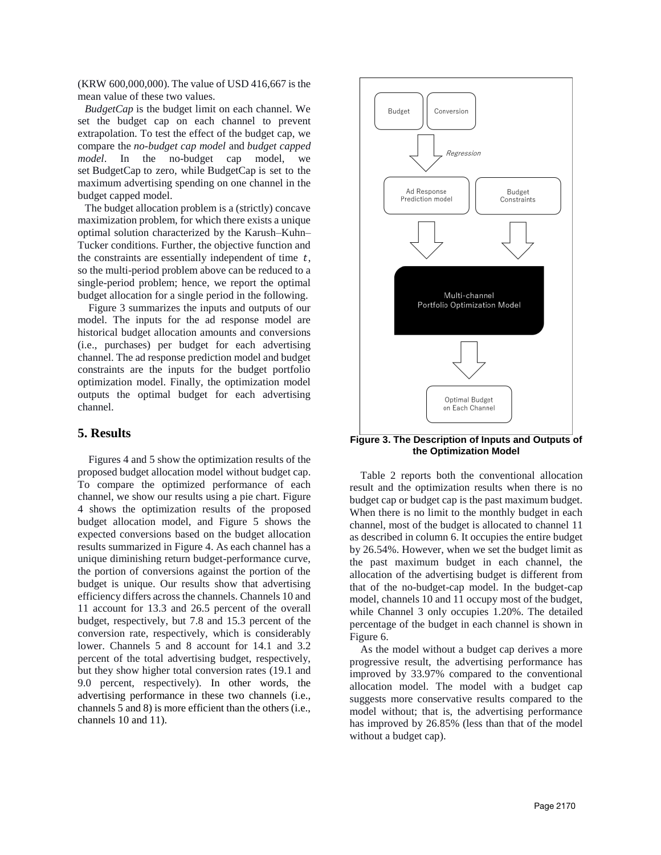(KRW 600,000,000). The value of USD 416,667 is the mean value of these two values.

*BudgetCap* is the budget limit on each channel. We set the budget cap on each channel to prevent extrapolation. To test the effect of the budget cap, we compare the *no-budget cap model* and *budget capped model*. In the no-budget cap model, we set BudgetCap to zero, while BudgetCap is set to the maximum advertising spending on one channel in the budget capped model.

The budget allocation problem is a (strictly) concave maximization problem, for which there exists a unique optimal solution characterized by the Karush–Kuhn– Tucker conditions. Further, the objective function and the constraints are essentially independent of time  $t$ , so the multi-period problem above can be reduced to a single-period problem; hence, we report the optimal budget allocation for a single period in the following.

Figure 3 summarizes the inputs and outputs of our model. The inputs for the ad response model are historical budget allocation amounts and conversions (i.e., purchases) per budget for each advertising channel. The ad response prediction model and budget constraints are the inputs for the budget portfolio optimization model. Finally, the optimization model outputs the optimal budget for each advertising channel.

## **5. Results**

Figures 4 and 5 show the optimization results of the proposed budget allocation model without budget cap. To compare the optimized performance of each channel, we show our results using a pie chart. Figure 4 shows the optimization results of the proposed budget allocation model, and Figure 5 shows the expected conversions based on the budget allocation results summarized in Figure 4. As each channel has a unique diminishing return budget-performance curve, the portion of conversions against the portion of the budget is unique. Our results show that advertising efficiency differs across the channels. Channels 10 and 11 account for 13.3 and 26.5 percent of the overall budget, respectively, but 7.8 and 15.3 percent of the conversion rate, respectively, which is considerably lower. Channels 5 and 8 account for 14.1 and 3.2 percent of the total advertising budget, respectively, but they show higher total conversion rates (19.1 and 9.0 percent, respectively). In other words, the advertising performance in these two channels (i.e., channels 5 and 8) is more efficient than the others (i.e., channels 10 and 11).



**Figure 3. The Description of Inputs and Outputs of the Optimization Model**

Table 2 reports both the conventional allocation result and the optimization results when there is no budget cap or budget cap is the past maximum budget. When there is no limit to the monthly budget in each channel, most of the budget is allocated to channel 11 as described in column 6. It occupies the entire budget by 26.54%. However, when we set the budget limit as the past maximum budget in each channel, the allocation of the advertising budget is different from that of the no-budget-cap model. In the budget-cap model, channels 10 and 11 occupy most of the budget, while Channel 3 only occupies 1.20%. The detailed percentage of the budget in each channel is shown in Figure 6.

As the model without a budget cap derives a more progressive result, the advertising performance has improved by 33.97% compared to the conventional allocation model. The model with a budget cap suggests more conservative results compared to the model without; that is, the advertising performance has improved by 26.85% (less than that of the model without a budget cap).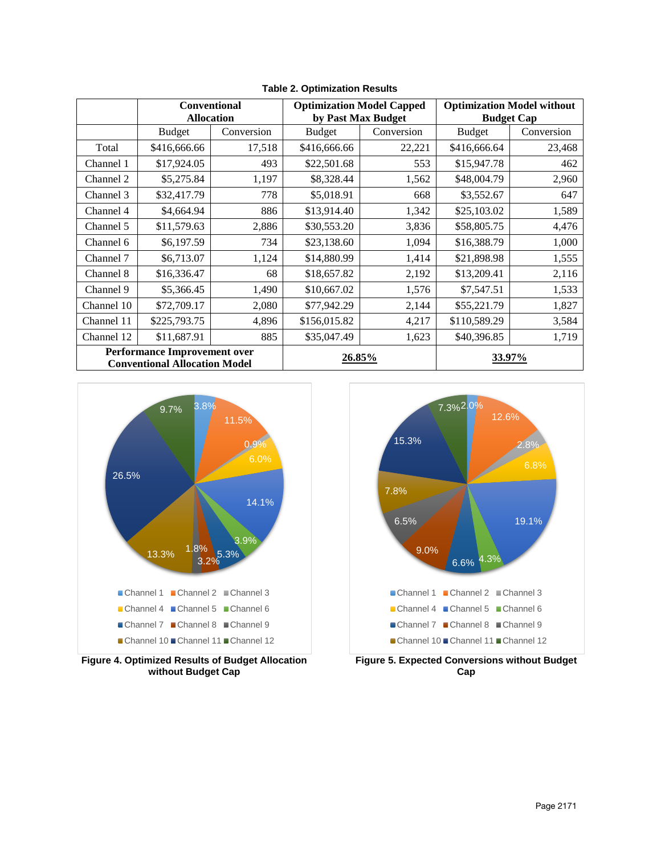|                                                                             | <b>Conventional</b><br><b>Allocation</b> |            | <b>Optimization Model Capped</b><br>by Past Max Budget |            | <b>Optimization Model without</b><br><b>Budget Cap</b> |            |
|-----------------------------------------------------------------------------|------------------------------------------|------------|--------------------------------------------------------|------------|--------------------------------------------------------|------------|
|                                                                             | <b>Budget</b>                            | Conversion | <b>Budget</b>                                          | Conversion | <b>Budget</b>                                          | Conversion |
| Total                                                                       | \$416,666.66                             | 17,518     | \$416,666.66                                           | 22,221     | \$416,666.64                                           | 23,468     |
| Channel 1                                                                   | \$17,924.05                              | 493        | \$22,501.68                                            | 553        | \$15,947.78                                            | 462        |
| Channel 2                                                                   | \$5,275.84                               | 1,197      | \$8,328.44                                             | 1,562      | \$48,004.79                                            | 2,960      |
| Channel 3                                                                   | \$32,417.79                              | 778        | \$5,018.91                                             | 668        | \$3,552.67                                             | 647        |
| Channel 4                                                                   | \$4,664.94                               | 886        | \$13,914.40                                            | 1,342      | \$25,103.02                                            | 1,589      |
| Channel 5                                                                   | \$11,579.63                              | 2,886      | \$30,553.20                                            | 3,836      | \$58,805.75                                            | 4,476      |
| Channel 6                                                                   | \$6,197.59                               | 734        | \$23,138.60                                            | 1,094      | \$16,388.79                                            | 1,000      |
| Channel 7                                                                   | \$6,713.07                               | 1,124      | \$14,880.99                                            | 1,414      | \$21,898.98                                            | 1,555      |
| Channel 8                                                                   | \$16,336.47                              | 68         | \$18,657.82                                            | 2,192      | \$13,209.41                                            | 2,116      |
| Channel 9                                                                   | \$5,366.45                               | 1,490      | \$10,667.02                                            | 1,576      | \$7,547.51                                             | 1,533      |
| Channel 10                                                                  | \$72,709.17                              | 2,080      | \$77,942.29                                            | 2,144      | \$55,221.79                                            | 1,827      |
| Channel 11                                                                  | \$225,793.75                             | 4,896      | \$156,015.82                                           | 4,217      | \$110,589.29                                           | 3,584      |
| Channel 12                                                                  | \$11,687.91                              | 885        | \$35,047.49                                            | 1,623      | \$40,396.85                                            | 1,719      |
| <b>Performance Improvement over</b><br><b>Conventional Allocation Model</b> |                                          | 26.85%     |                                                        | 33.97%     |                                                        |            |

**Table 2. Optimization Results**



**Figure 4. Optimized Results of Budget Allocation without Budget Cap**

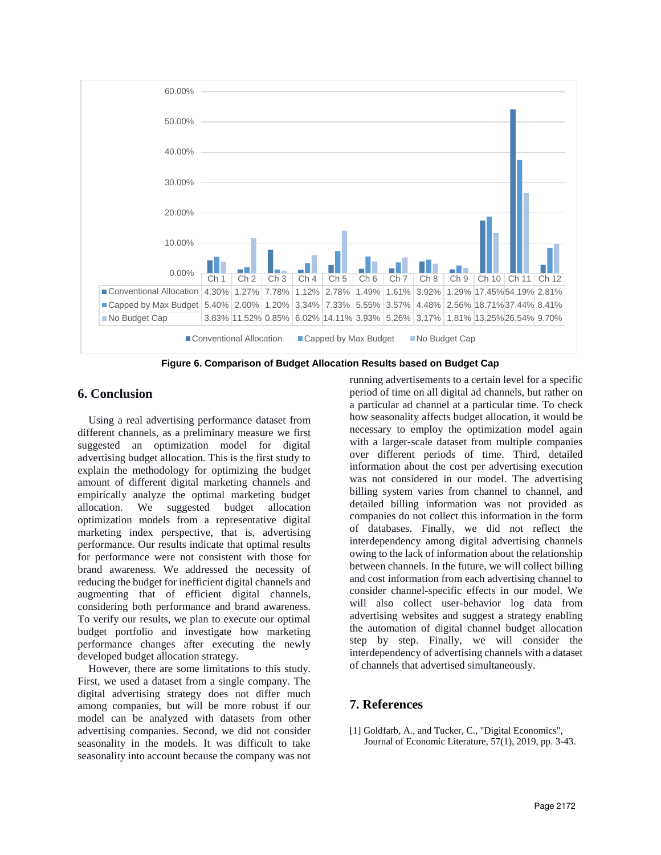

**Figure 6. Comparison of Budget Allocation Results based on Budget Cap**

# **6. Conclusion**

Using a real advertising performance dataset from different channels, as a preliminary measure we first suggested an optimization model for digital advertising budget allocation. This is the first study to explain the methodology for optimizing the budget amount of different digital marketing channels and empirically analyze the optimal marketing budget allocation. We suggested budget allocation optimization models from a representative digital marketing index perspective, that is, advertising performance. Our results indicate that optimal results for performance were not consistent with those for brand awareness. We addressed the necessity of reducing the budget for inefficient digital channels and augmenting that of efficient digital channels, considering both performance and brand awareness. To verify our results, we plan to execute our optimal budget portfolio and investigate how marketing performance changes after executing the newly developed budget allocation strategy.

However, there are some limitations to this study. First, we used a dataset from a single company. The digital advertising strategy does not differ much among companies, but will be more robust if our model can be analyzed with datasets from other advertising companies. Second, we did not consider seasonality in the models. It was difficult to take seasonality into account because the company was not running advertisements to a certain level for a specific period of time on all digital ad channels, but rather on a particular ad channel at a particular time. To check how seasonality affects budget allocation, it would be necessary to employ the optimization model again with a larger-scale dataset from multiple companies over different periods of time. Third, detailed information about the cost per advertising execution was not considered in our model. The advertising billing system varies from channel to channel, and detailed billing information was not provided as companies do not collect this information in the form of databases. Finally, we did not reflect the interdependency among digital advertising channels owing to the lack of information about the relationship between channels. In the future, we will collect billing and cost information from each advertising channel to consider channel-specific effects in our model. We will also collect user-behavior log data from advertising websites and suggest a strategy enabling the automation of digital channel budget allocation step by step. Finally, we will consider the interdependency of advertising channels with a dataset of channels that advertised simultaneously.

# **7. References**

[1] Goldfarb, A., and Tucker, C., "Digital Economics", Journal of Economic Literature, 57(1), 2019, pp. 3-43.